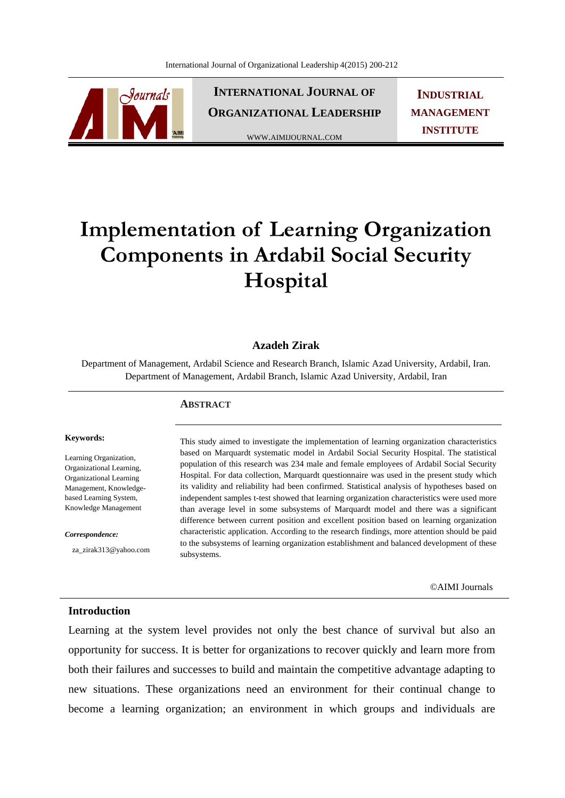

**INTERNATIONAL JOURNAL OF ORGANIZATIONAL LEADERSHIP**

WWW.AIMIJOURNAL.COM

**INDUSTRIAL MANAGEMENT INSTITUTE**

# **Implementation of Learning Organization Components in Ardabil Social Security Hospital**

## **Azadeh Zirak**

Department of Management, Ardabil Science and Research Branch, Islamic Azad University, Ardabil, Iran. Department of Management, Ardabil Branch, Islamic Azad University, Ardabil, Iran

### **ABSTRACT**

#### **Keywords:**

Learning Organization, Organizational Learning, Organizational Learning Management, Knowledgebased Learning System, Knowledge Management

*Correspondence:* 

za\_zirak313@yahoo.com

This study aimed to investigate the implementation of learning organization characteristics based on Marquardt systematic model in Ardabil Social Security Hospital. The statistical population of this research was 234 male and female employees of Ardabil Social Security Hospital. For data collection, Marquardt questionnaire was used in the present study which its validity and reliability had been confirmed. Statistical analysis of hypotheses based on independent samples t-test showed that learning organization characteristics were used more than average level in some subsystems of Marquardt model and there was a significant difference between current position and excellent position based on learning organization characteristic application. According to the research findings, more attention should be paid to the subsystems of learning organization establishment and balanced development of these subsystems.

©AIMI Journals

#### **Introduction**

Learning at the system level provides not only the best chance of survival but also an opportunity for success. It is better for organizations to recover quickly and learn more from both their failures and successes to build and maintain the competitive advantage adapting to new situations. These organizations need an environment for their continual change to become a learning organization; an environment in which groups and individuals are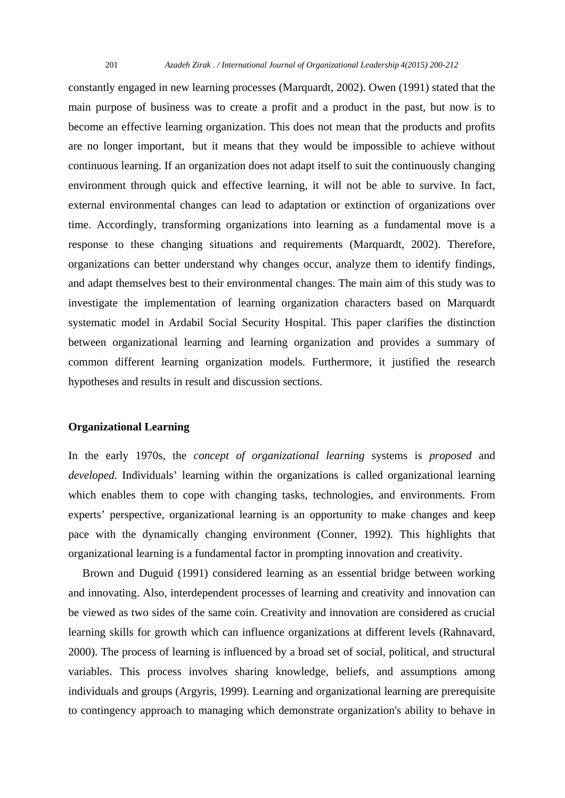constantly engaged in new learning processes (Marquardt, 2002). Owen (1991) stated that the main purpose of business was to create a profit and a product in the past, but now is to become an effective learning organization. This does not mean that the products and profits are no longer important, but it means that they would be impossible to achieve without continuous learning. If an organization does not adapt itself to suit the continuously changing environment through quick and effective learning, it will not be able to survive. In fact, external environmental changes can lead to adaptation or extinction of organizations over time. Accordingly, transforming organizations into learning as a fundamental move is a response to these changing situations and requirements (Marquardt, 2002). Therefore, organizations can better understand why changes occur, analyze them to identify findings, and adapt themselves best to their environmental changes. The main aim of this study was to investigate the implementation of learning organization characters based on Marquardt systematic model in Ardabil Social Security Hospital. This paper clarifies the distinction between organizational learning and learning organization and provides a summary of common different learning organization models. Furthermore, it justified the research hypotheses and results in result and discussion sections.

### **Organizational Learning**

In the early 1970s, the *concept of organizational learning* systems is *proposed* and *developed.* Individuals' learning within the organizations is called organizational learning which enables them to cope with changing tasks, technologies, and environments. From experts' perspective, organizational learning is an opportunity to make changes and keep pace with the dynamically changing environment (Conner, 1992). This highlights that organizational learning is a fundamental factor in prompting innovation and creativity.

 Brown and Duguid (1991) considered learning as an essential bridge between working and innovating. Also, interdependent processes of learning and creativity and innovation can be viewed as two sides of the same coin. Creativity and innovation are considered as crucial learning skills for growth which can influence organizations at different levels (Rahnavard, 2000). The process of learning is influenced by a broad set of social, political, and structural variables. This process involves sharing knowledge, beliefs, and assumptions among individuals and groups (Argyris, 1999). Learning and organizational learning are prerequisite to contingency approach to managing which demonstrate organization's ability to behave in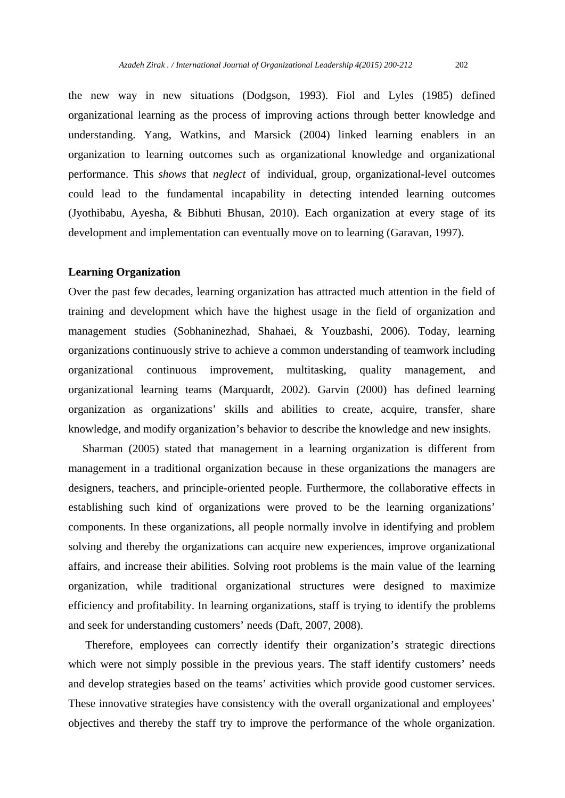the new way in new situations (Dodgson, 1993). Fiol and Lyles (1985) defined organizational learning as the process of improving actions through better knowledge and understanding. Yang, Watkins, and Marsick (2004) linked learning enablers in an organization to learning outcomes such as organizational knowledge and organizational performance. This *shows* that *neglect* of individual, group, organizational-level outcomes could lead to the fundamental incapability in detecting intended learning outcomes (Jyothibabu, Ayesha, & Bibhuti Bhusan, 2010). Each organization at every stage of its development and implementation can eventually move on to learning (Garavan, 1997).

#### **Learning Organization**

Over the past few decades, learning organization has attracted much attention in the field of training and development which have the highest usage in the field of organization and management studies (Sobhaninezhad, Shahaei, & Youzbashi, 2006). Today, learning organizations continuously strive to achieve a common understanding of teamwork including organizational continuous improvement, multitasking, quality management, and organizational learning teams (Marquardt, 2002). Garvin (2000) has defined learning organization as organizations' skills and abilities to create, acquire, transfer, share knowledge, and modify organization's behavior to describe the knowledge and new insights.

 Sharman (2005) stated that management in a learning organization is different from management in a traditional organization because in these organizations the managers are designers, teachers, and principle-oriented people. Furthermore, the collaborative effects in establishing such kind of organizations were proved to be the learning organizations' components. In these organizations, all people normally involve in identifying and problem solving and thereby the organizations can acquire new experiences, improve organizational affairs, and increase their abilities. Solving root problems is the main value of the learning organization, while traditional organizational structures were designed to maximize efficiency and profitability. In learning organizations, staff is trying to identify the problems and seek for understanding customers' needs (Daft, 2007, 2008).

 Therefore, employees can correctly identify their organization's strategic directions which were not simply possible in the previous years. The staff identify customers' needs and develop strategies based on the teams' activities which provide good customer services. These innovative strategies have consistency with the overall organizational and employees' objectives and thereby the staff try to improve the performance of the whole organization.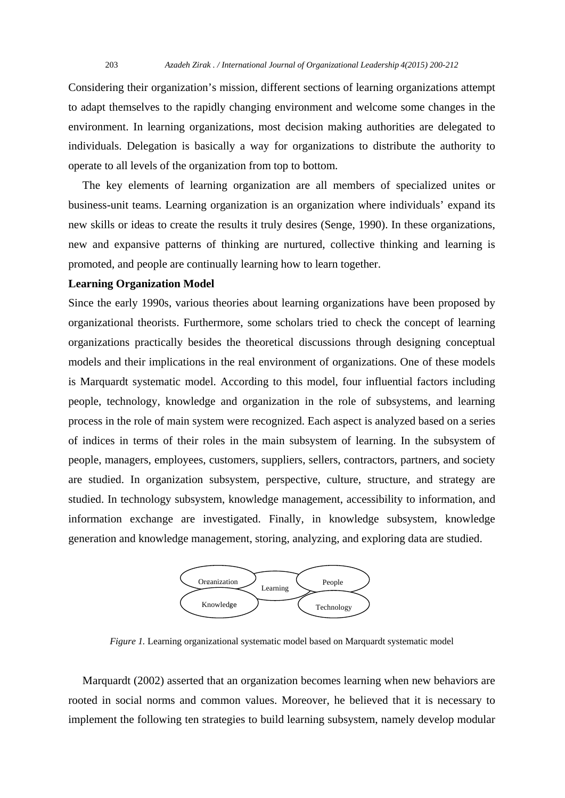Considering their organization's mission, different sections of learning organizations attempt to adapt themselves to the rapidly changing environment and welcome some changes in the environment. In learning organizations, most decision making authorities are delegated to individuals. Delegation is basically a way for organizations to distribute the authority to operate to all levels of the organization from top to bottom.

 The key elements of learning organization are all members of specialized unites or business-unit teams. Learning organization is an organization where individuals' expand its new skills or ideas to create the results it truly desires (Senge, 1990). In these organizations, new and expansive patterns of thinking are nurtured, collective thinking and learning is promoted, and people are continually learning how to learn together.

#### **Learning Organization Model**

Since the early 1990s, various theories about learning organizations have been proposed by organizational theorists. Furthermore, some scholars tried to check the concept of learning organizations practically besides the theoretical discussions through designing conceptual models and their implications in the real environment of organizations. One of these models is Marquardt systematic model. According to this model, four influential factors including people, technology, knowledge and organization in the role of subsystems, and learning process in the role of main system were recognized. Each aspect is analyzed based on a series of indices in terms of their roles in the main subsystem of learning. In the subsystem of people, managers, employees, customers, suppliers, sellers, contractors, partners, and society are studied. In organization subsystem, perspective, culture, structure, and strategy are studied. In technology subsystem, knowledge management, accessibility to information, and information exchange are investigated. Finally, in knowledge subsystem, knowledge generation and knowledge management, storing, analyzing, and exploring data are studied.



*Figure 1.* Learning organizational systematic model based on Marquardt systematic model

 Marquardt (2002) asserted that an organization becomes learning when new behaviors are rooted in social norms and common values. Moreover, he believed that it is necessary to implement the following ten strategies to build learning subsystem, namely develop modular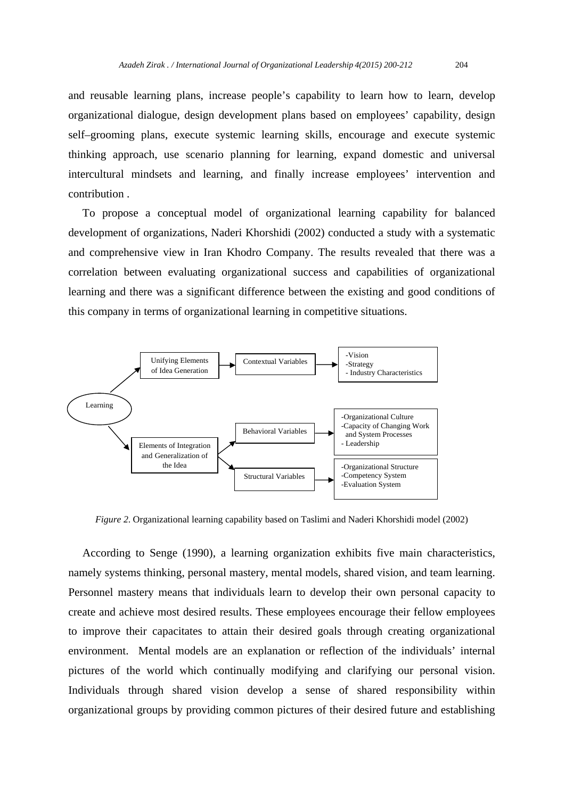and reusable learning plans, increase people's capability to learn how to learn, develop organizational dialogue, design development plans based on employees' capability, design self–grooming plans, execute systemic learning skills, encourage and execute systemic thinking approach, use scenario planning for learning, expand domestic and universal intercultural mindsets and learning, and finally increase employees' intervention and contribution .

 To propose a conceptual model of organizational learning capability for balanced development of organizations, Naderi Khorshidi (2002) conducted a study with a systematic and comprehensive view in Iran Khodro Company. The results revealed that there was a correlation between evaluating organizational success and capabilities of organizational learning and there was a significant difference between the existing and good conditions of this company in terms of organizational learning in competitive situations.



*Figure 2*. Organizational learning capability based on Taslimi and Naderi Khorshidi model (2002)

 According to Senge (1990), a learning organization exhibits five main characteristics, namely systems thinking, personal mastery, mental models, shared vision, and team learning. Personnel mastery means that individuals learn to develop their own personal capacity to create and achieve most desired results. These employees encourage their fellow employees to improve their capacitates to attain their desired goals through creating organizational environment. Mental models are an explanation or reflection of the individuals' internal pictures of the world which continually modifying and clarifying our personal vision. Individuals through shared vision develop a sense of shared responsibility within organizational groups by providing common pictures of their desired future and establishing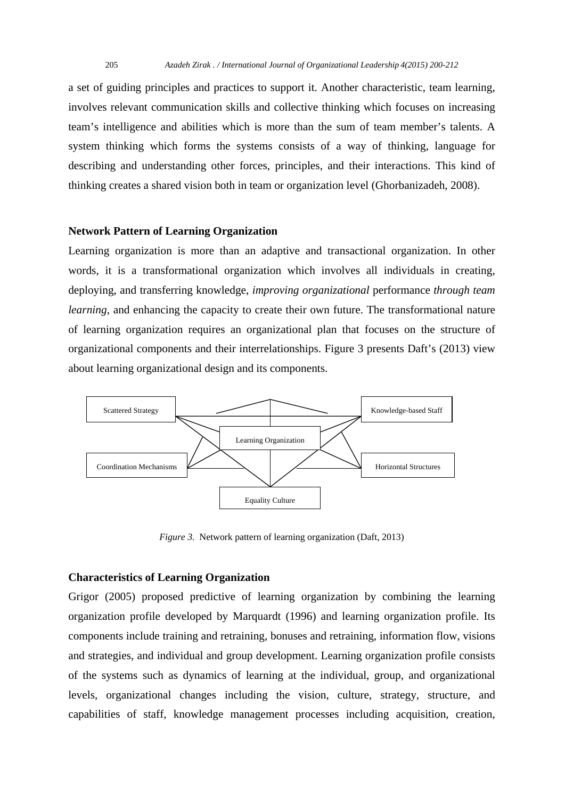a set of guiding principles and practices to support it. Another characteristic, team learning, involves relevant communication skills and collective thinking which focuses on increasing team's intelligence and abilities which is more than the sum of team member's talents. A system thinking which forms the systems consists of a way of thinking, language for describing and understanding other forces, principles, and their interactions. This kind of thinking creates a shared vision both in team or organization level (Ghorbanizadeh, 2008).

#### **Network Pattern of Learning Organization**

Learning organization is more than an adaptive and transactional organization. In other words, it is a transformational organization which involves all individuals in creating, deploying, and transferring knowledge, *improving organizational* performance *through team learning*, and enhancing the capacity to create their own future. The transformational nature of learning organization requires an organizational plan that focuses on the structure of organizational components and their interrelationships. Figure 3 presents Daft's (2013) view about learning organizational design and its components.



*Figure 3*. Network pattern of learning organization (Daft, 2013)

## **Characteristics of Learning Organization**

Grigor (2005) proposed predictive of learning organization by combining the learning organization profile developed by Marquardt (1996) and learning organization profile. Its components include training and retraining, bonuses and retraining, information flow, visions and strategies, and individual and group development. Learning organization profile consists of the systems such as dynamics of learning at the individual, group, and organizational levels, organizational changes including the vision, culture, strategy, structure, and capabilities of staff, knowledge management processes including acquisition, creation,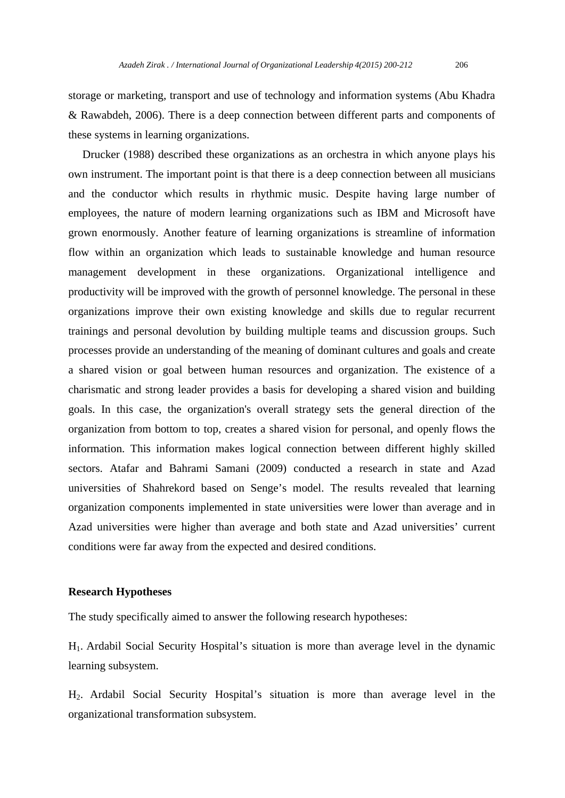storage or marketing, transport and use of technology and information systems (Abu Khadra & Rawabdeh, 2006). There is a deep connection between different parts and components of these systems in learning organizations.

 Drucker (1988) described these organizations as an orchestra in which anyone plays his own instrument. The important point is that there is a deep connection between all musicians and the conductor which results in rhythmic music. Despite having large number of employees, the nature of modern learning organizations such as IBM and Microsoft have grown enormously. Another feature of learning organizations is streamline of information flow within an organization which leads to sustainable knowledge and human resource management development in these organizations. Organizational intelligence and productivity will be improved with the growth of personnel knowledge. The personal in these organizations improve their own existing knowledge and skills due to regular recurrent trainings and personal devolution by building multiple teams and discussion groups. Such processes provide an understanding of the meaning of dominant cultures and goals and create a shared vision or goal between human resources and organization. The existence of a charismatic and strong leader provides a basis for developing a shared vision and building goals. In this case, the organization's overall strategy sets the general direction of the organization from bottom to top, creates a shared vision for personal, and openly flows the information. This information makes logical connection between different highly skilled sectors. Atafar and Bahrami Samani (2009) conducted a research in state and Azad universities of Shahrekord based on Senge's model. The results revealed that learning organization components implemented in state universities were lower than average and in Azad universities were higher than average and both state and Azad universities' current conditions were far away from the expected and desired conditions.

### **Research Hypotheses**

The study specifically aimed to answer the following research hypotheses:

H1. Ardabil Social Security Hospital's situation is more than average level in the dynamic learning subsystem.

H2. Ardabil Social Security Hospital's situation is more than average level in the organizational transformation subsystem.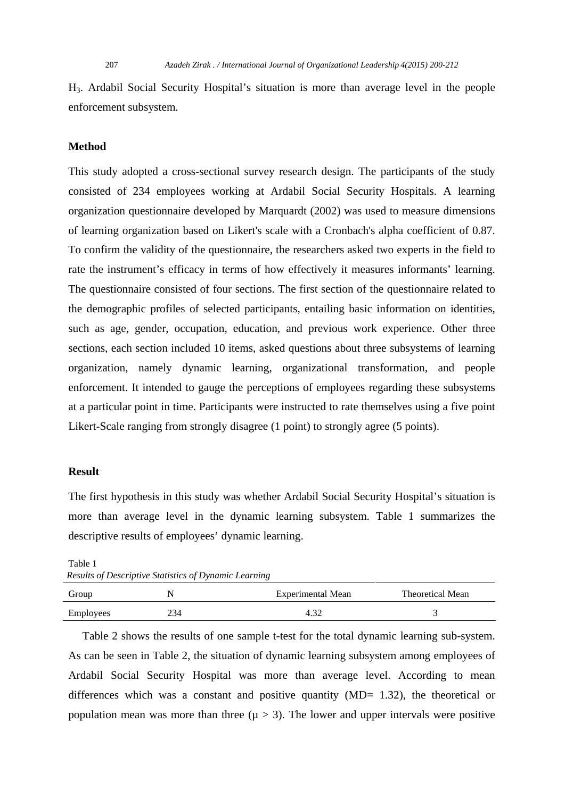H3. Ardabil Social Security Hospital's situation is more than average level in the people enforcement subsystem.

#### **Method**

This study adopted a cross-sectional survey research design. The participants of the study consisted of 234 employees working at Ardabil Social Security Hospitals. A learning organization questionnaire developed by Marquardt (2002) was used to measure dimensions of learning organization based on Likert's scale with a Cronbach's alpha coefficient of 0.87. To confirm the validity of the questionnaire, the researchers asked two experts in the field to rate the instrument's efficacy in terms of how effectively it measures informants' learning. The questionnaire consisted of four sections. The first section of the questionnaire related to the demographic profiles of selected participants, entailing basic information on identities, such as age, gender, occupation, education, and previous work experience. Other three sections, each section included 10 items, asked questions about three subsystems of learning organization, namely dynamic learning, organizational transformation, and people enforcement. It intended to gauge the perceptions of employees regarding these subsystems at a particular point in time. Participants were instructed to rate themselves using a five point Likert-Scale ranging from strongly disagree (1 point) to strongly agree (5 points).

## **Result**

The first hypothesis in this study was whether Ardabil Social Security Hospital's situation is more than average level in the dynamic learning subsystem. Table 1 summarizes the descriptive results of employees' dynamic learning.

Table 1 *Results of Descriptive Statistics of Dynamic Learning* 

| Group     |     | Experimental Mean | Theoretical Mean |
|-----------|-----|-------------------|------------------|
| Employees | 234 |                   |                  |

 Table 2 shows the results of one sample t-test for the total dynamic learning sub-system. As can be seen in Table 2, the situation of dynamic learning subsystem among employees of Ardabil Social Security Hospital was more than average level. According to mean differences which was a constant and positive quantity  $(MD= 1.32)$ , the theoretical or population mean was more than three ( $\mu > 3$ ). The lower and upper intervals were positive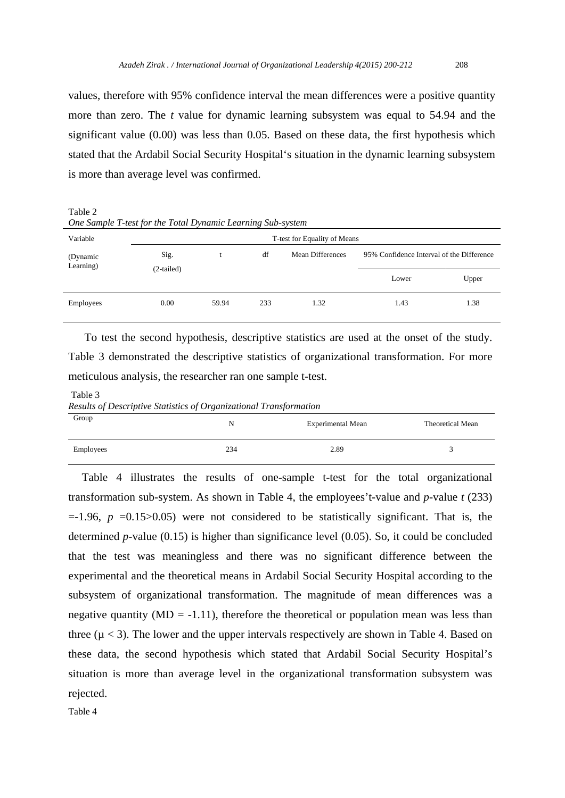values, therefore with 95% confidence interval the mean differences were a positive quantity more than zero. The *t* value for dynamic learning subsystem was equal to 54.94 and the significant value (0.00) was less than 0.05. Based on these data, the first hypothesis which stated that the Ardabil Social Security Hospital's situation in the dynamic learning subsystem is more than average level was confirmed.

Table 2

*One Sample T-test for the Total Dynamic Learning Sub-system* 

| Variable              | T-test for Equality of Means |       |     |                  |                                           |       |
|-----------------------|------------------------------|-------|-----|------------------|-------------------------------------------|-------|
| (Dynamic<br>Learning) | Sig.<br>$(2-tailed)$         |       | df  | Mean Differences | 95% Confidence Interval of the Difference |       |
|                       |                              |       |     |                  | Lower                                     | Upper |
| Employees             | 0.00                         | 59.94 | 233 | 1.32             | 1.43                                      | 1.38  |

 To test the second hypothesis, descriptive statistics are used at the onset of the study. Table 3 demonstrated the descriptive statistics of organizational transformation. For more meticulous analysis, the researcher ran one sample t-test.

 Table 3 *Results of Descriptive Statistics of Organizational Transformation* 

| Group     | N   | <b>Experimental Mean</b> | Theoretical Mean |  |
|-----------|-----|--------------------------|------------------|--|
| Employees | 234 | 2.89                     |                  |  |

Table 4 illustrates the results of one-sample t-test for the total organizational transformation sub-system. As shown in Table 4, the employees't-value and *p*-value *t* (233)  $=$ -1.96,  $p = 0.15 > 0.05$ ) were not considered to be statistically significant. That is, the determined *p-*value (0.15) is higher than significance level (0.05). So, it could be concluded that the test was meaningless and there was no significant difference between the experimental and the theoretical means in Ardabil Social Security Hospital according to the subsystem of organizational transformation. The magnitude of mean differences was a negative quantity ( $MD = -1.11$ ), therefore the theoretical or population mean was less than three ( $\mu$  < 3). The lower and the upper intervals respectively are shown in Table 4. Based on these data, the second hypothesis which stated that Ardabil Social Security Hospital's situation is more than average level in the organizational transformation subsystem was rejected.

Table 4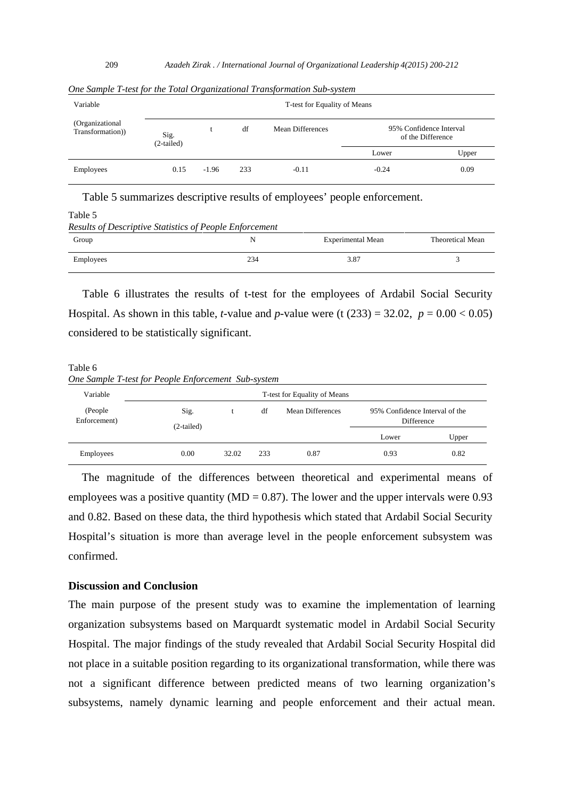| Variable                             | T-test for Equality of Means |         |     |                  |                                              |       |
|--------------------------------------|------------------------------|---------|-----|------------------|----------------------------------------------|-------|
| (Organizational)<br>Transformation)) | Sig.<br>$(2-tailed)$         |         | df  | Mean Differences | 95% Confidence Interval<br>of the Difference |       |
|                                      |                              |         |     |                  | Lower                                        | Upper |
| Employees                            | 0.15                         | $-1.96$ | 233 | $-0.11$          | $-0.24$                                      | 0.09  |

*One Sample T-test for the Total Organizational Transformation Sub-system* 

Table 5 summarizes descriptive results of employees' people enforcement.

Table 5

*Results of Descriptive Statistics of People Enforcement* 

| Group     | . . | <b>Experimental Mean</b> | <b>Theoretical Mean</b> |
|-----------|-----|--------------------------|-------------------------|
| Employees | 234 | 3.87                     |                         |

 Table 6 illustrates the results of t-test for the employees of Ardabil Social Security Hospital. As shown in this table, *t*-value and *p*-value were (t  $(233) = 32.02$ ,  $p = 0.00 < 0.05$ ) considered to be statistically significant.

Table 6 *One Sample T-test for People Enforcement Sub-system* 

| Variable                 |                      | T-test for Equality of Means |     |                  |                                                     |       |  |  |
|--------------------------|----------------------|------------------------------|-----|------------------|-----------------------------------------------------|-------|--|--|
| (People)<br>Enforcement) | Sig.<br>$(2-tailed)$ |                              | df  | Mean Differences | 95% Confidence Interval of the<br><b>Difference</b> |       |  |  |
|                          |                      |                              |     |                  | Lower                                               | Upper |  |  |
| Employees                | 0.00                 | 32.02                        | 233 | 0.87             | 0.93                                                | 0.82  |  |  |

The magnitude of the differences between theoretical and experimental means of employees was a positive quantity ( $MD = 0.87$ ). The lower and the upper intervals were 0.93 and 0.82. Based on these data, the third hypothesis which stated that Ardabil Social Security Hospital's situation is more than average level in the people enforcement subsystem was confirmed.

## **Discussion and Conclusion**

The main purpose of the present study was to examine the implementation of learning organization subsystems based on Marquardt systematic model in Ardabil Social Security Hospital. The major findings of the study revealed that Ardabil Social Security Hospital did not place in a suitable position regarding to its organizational transformation, while there was not a significant difference between predicted means of two learning organization's subsystems, namely dynamic learning and people enforcement and their actual mean.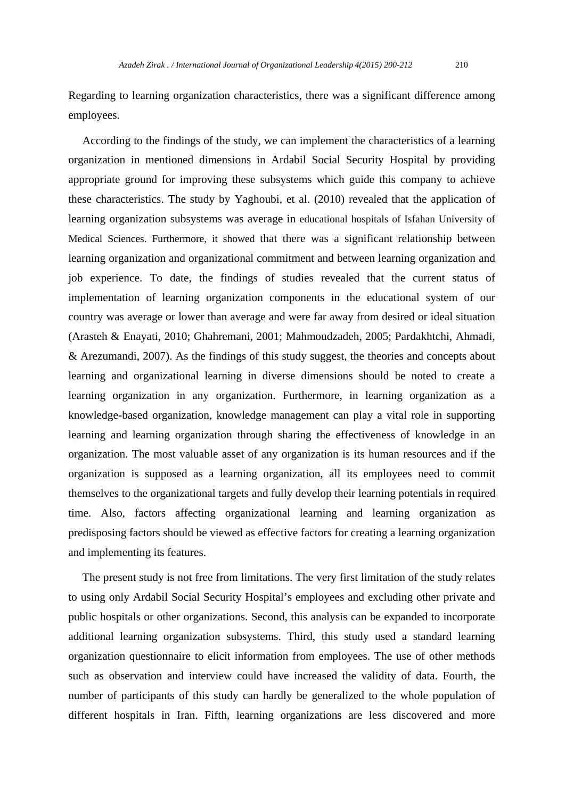Regarding to learning organization characteristics, there was a significant difference among employees.

 According to the findings of the study, we can implement the characteristics of a learning organization in mentioned dimensions in Ardabil Social Security Hospital by providing appropriate ground for improving these subsystems which guide this company to achieve these characteristics. The study by Yaghoubi, et al. (2010) revealed that the application of learning organization subsystems was average in educational hospitals of Isfahan University of Medical Sciences. Furthermore, it showed that there was a significant relationship between learning organization and organizational commitment and between learning organization and job experience. To date, the findings of studies revealed that the current status of implementation of learning organization components in the educational system of our country was average or lower than average and were far away from desired or ideal situation (Arasteh & Enayati, 2010; Ghahremani, 2001; Mahmoudzadeh, 2005; Pardakhtchi, Ahmadi, & Arezumandi, 2007). As the findings of this study suggest, the theories and concepts about learning and organizational learning in diverse dimensions should be noted to create a learning organization in any organization. Furthermore, in learning organization as a knowledge-based organization, knowledge management can play a vital role in supporting learning and learning organization through sharing the effectiveness of knowledge in an organization. The most valuable asset of any organization is its human resources and if the organization is supposed as a learning organization, all its employees need to commit themselves to the organizational targets and fully develop their learning potentials in required time. Also, factors affecting organizational learning and learning organization as predisposing factors should be viewed as effective factors for creating a learning organization and implementing its features.

 The present study is not free from limitations. The very first limitation of the study relates to using only Ardabil Social Security Hospital's employees and excluding other private and public hospitals or other organizations. Second, this analysis can be expanded to incorporate additional learning organization subsystems. Third, this study used a standard learning organization questionnaire to elicit information from employees. The use of other methods such as observation and interview could have increased the validity of data. Fourth, the number of participants of this study can hardly be generalized to the whole population of different hospitals in Iran. Fifth, learning organizations are less discovered and more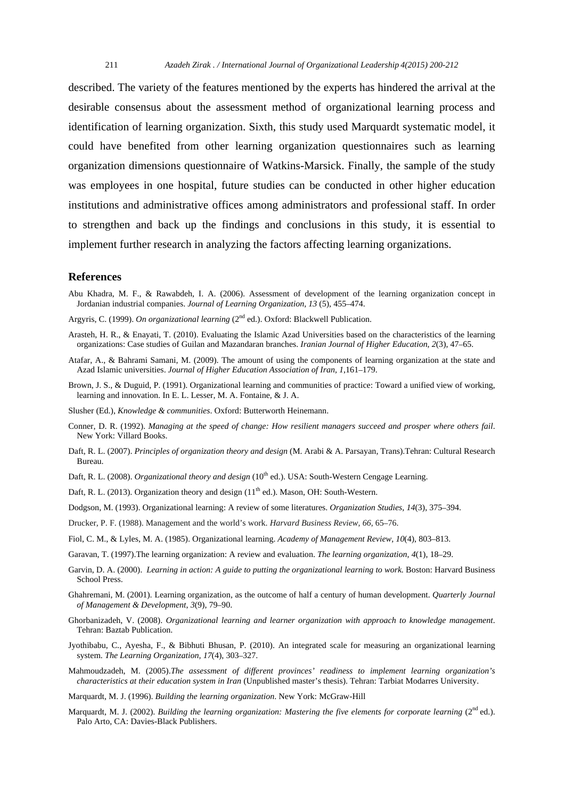described. The variety of the features mentioned by the experts has hindered the arrival at the desirable consensus about the assessment method of organizational learning process and identification of learning organization. Sixth, this study used Marquardt systematic model, it could have benefited from other learning organization questionnaires such as learning organization dimensions questionnaire of Watkins-Marsick. Finally, the sample of the study was employees in one hospital, future studies can be conducted in other higher education institutions and administrative offices among administrators and professional staff. In order to strengthen and back up the findings and conclusions in this study, it is essential to implement further research in analyzing the factors affecting learning organizations.

#### **References**

- Abu Khadra, M. F., & Rawabdeh, I. A. (2006). Assessment of development of the learning organization concept in Jordanian industrial companies. *Journal of Learning Organization, 13* (5), 455–474.
- Argyris, C. (1999). *On organizational learning* (2<sup>nd</sup> ed.). Oxford: Blackwell Publication.
- Arasteh, H. R., & Enayati, T. (2010). Evaluating the Islamic Azad Universities based on the characteristics of the learning organizations: Case studies of Guilan and Mazandaran branches. *Iranian Journal of Higher Education*, *2*(3), 47–65.
- Atafar, A., & Bahrami Samani, M. (2009). The amount of using the components of learning organization at the state and Azad Islamic universities. *Journal of Higher Education Association of Iran, 1*,161–179.
- Brown, J. S., & Duguid, P. (1991). Organizational learning and communities of practice: Toward a unified view of working, learning and innovation. In E. L. Lesser, M. A. Fontaine, & J. A.
- Slusher (Ed.), *Knowledge & communities*. Oxford: Butterworth Heinemann.
- Conner, D. R. (1992). *Managing at the speed of change: How resilient managers succeed and prosper where others fail*. New York: Villard Books.
- Daft, R. L. (2007). *Principles of organization theory and design* (M. Arabi & A. Parsayan, Trans).Tehran: Cultural Research Bureau.
- Daft, R. L. (2008). *Organizational theory and design* (10<sup>th</sup> ed.). USA: South-Western Cengage Learning.
- Daft, R. L. (2013). Organization theory and design  $(11<sup>th</sup>$  ed.). Mason, OH: South-Western.
- Dodgson, M. (1993). Organizational learning: A review of some literatures. *Organization Studies, 14*(3), 375–394.
- Drucker, P. F. (1988). Management and the world's work. *Harvard Business Review, 66*, 65–76.
- Fiol, C. M., & Lyles, M. A. (1985). Organizational learning. *Academy of Management Review, 10*(4), 803–813.
- Garavan, T. (1997).The learning organization: A review and evaluation. *The learning organization*, *4*(1), 18–29.
- Garvin, D. A. (2000). *Learning in action: A guide to putting the organizational learning to work*. Boston: Harvard Business School Press.
- Ghahremani, M. (2001). Learning organization, as the outcome of half a century of human development. *Quarterly Journal of Management & Development*, *3*(9), 79–90.
- Ghorbanizadeh, V. (2008). *Organizational learning and learner organization with approach to knowledge management*. Tehran: Baztab Publication.
- Jyothibabu, C., Ayesha, F., & Bibhuti Bhusan, P. (2010). An integrated scale for measuring an organizational learning system. *The Learning Organization, 17*(4), 303–327.
- Mahmoudzadeh, M. (2005).*The assessment of different provinces' readiness to implement learning organization's characteristics at their education system in Iran* (Unpublished master's thesis). Tehran: Tarbiat Modarres University.
- Marquardt, M. J. (1996). *Building the learning organization*. New York: McGraw-Hill
- Marquardt, M. J. (2002). *Building the learning organization: Mastering the five elements for corporate learning* (2<sup>nd</sup> ed.). Palo Arto, CA: Davies-Black Publishers.